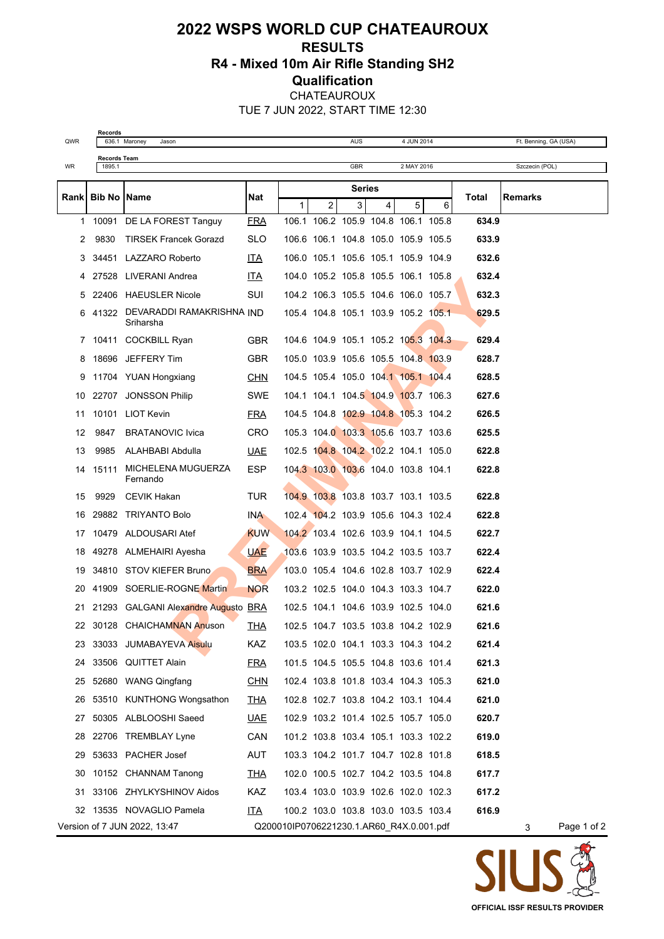## **2022 WSPS WORLD CUP CHATEAUROUX RESULTS R4 - Mixed 10m Air Rifle Standing SH2 Qualification** CHATEAUROUX

TUE 7 JUN 2022, START TIME 12:30

**Records**<br>636.1 Maroney

**Records Team**

QWR 636.1 Maroney Jason AUS 4 JUN 2014 Ft. Benning, GA (USA)

| WR           | 1895.1 | Szczecin (POL)<br>GBR<br>2 MAY 2016    |            |                                          |   |   |                                     |   |   |       |                  |  |
|--------------|--------|----------------------------------------|------------|------------------------------------------|---|---|-------------------------------------|---|---|-------|------------------|--|
|              |        |                                        |            | <b>Series</b>                            |   |   |                                     |   |   |       |                  |  |
| <b>Rank</b>  |        | <b>Bib No IName</b>                    | Nat        | $\mathbf{1}$                             | 2 | 3 | $\overline{4}$                      | 5 | 6 | Total | <b>Remarks</b>   |  |
| $\mathbf{1}$ |        | 10091 DE LA FOREST Tanguy              | <b>FRA</b> |                                          |   |   | 106.1 106.2 105.9 104.8 106.1 105.8 |   |   | 634.9 |                  |  |
| 2            | 9830   | <b>TIRSEK Francek Gorazd</b>           | SLO        |                                          |   |   | 106.6 106.1 104.8 105.0 105.9 105.5 |   |   | 633.9 |                  |  |
| 3            |        | 34451 LAZZARO Roberto                  | <b>ITA</b> |                                          |   |   | 106.0 105.1 105.6 105.1 105.9 104.9 |   |   | 632.6 |                  |  |
| 4            |        | 27528 LIVERANI Andrea                  | ITA        |                                          |   |   | 104.0 105.2 105.8 105.5 106.1 105.8 |   |   | 632.4 |                  |  |
| 5            |        | 22406 HAEUSLER Nicole                  | SUI        |                                          |   |   | 104.2 106.3 105.5 104.6 106.0 105.7 |   |   | 632.3 |                  |  |
| 6            | 41322  | DEVARADDI RAMAKRISHNA IND<br>Sriharsha |            |                                          |   |   | 105.4 104.8 105.1 103.9 105.2 105.1 |   |   | 629.5 |                  |  |
| 7            |        | 10411 COCKBILL Ryan                    | GBR        |                                          |   |   | 104.6 104.9 105.1 105.2 105.3 104.3 |   |   | 629.4 |                  |  |
| 8            |        | 18696 JEFFERY Tim                      | <b>GBR</b> |                                          |   |   | 105.0 103.9 105.6 105.5 104.8 103.9 |   |   | 628.7 |                  |  |
| 9            |        | 11704 YUAN Hongxiang                   | <b>CHN</b> |                                          |   |   | 104.5 105.4 105.0 104.1 105.1 104.4 |   |   | 628.5 |                  |  |
| 10           |        | 22707 JONSSON Philip                   | SWE        |                                          |   |   | 104.1 104.1 104.5 104.9 103.7 106.3 |   |   | 627.6 |                  |  |
| 11           |        | 10101 LIOT Kevin                       | <b>FRA</b> |                                          |   |   | 104.5 104.8 102.9 104.8 105.3 104.2 |   |   | 626.5 |                  |  |
| 12           | 9847   | <b>BRATANOVIC Ivica</b>                | CRO        |                                          |   |   | 105.3 104.0 103.3 105.6 103.7 103.6 |   |   | 625.5 |                  |  |
| 13           | 9985   | ALAHBABI Abdulla                       | <b>UAE</b> |                                          |   |   | 102.5 104.8 104.2 102.2 104.1 105.0 |   |   | 622.8 |                  |  |
| 14           | 15111  | MICHELENA MUGUERZA<br>Fernando         | ESP        |                                          |   |   | 104.3 103.0 103.6 104.0 103.8 104.1 |   |   | 622.8 |                  |  |
| 15           | 9929   | CEVIK Hakan                            | TUR        |                                          |   |   | 104.9 103.8 103.8 103.7 103.1 103.5 |   |   | 622.8 |                  |  |
| 16           |        | 29882 TRIYANTO Bolo                    | INA.       |                                          |   |   | 102.4 104.2 103.9 105.6 104.3 102.4 |   |   | 622.8 |                  |  |
| 17           |        | 10479 ALDOUSARI Atef                   | <b>KUW</b> |                                          |   |   | 104.2 103.4 102.6 103.9 104.1 104.5 |   |   | 622.7 |                  |  |
| 18           |        | 49278 ALMEHAIRI Ayesha                 | <b>UAE</b> |                                          |   |   | 103.6 103.9 103.5 104.2 103.5 103.7 |   |   | 622.4 |                  |  |
| 19           |        | 34810 STOV KIEFER Bruno                | <b>BRA</b> |                                          |   |   | 103.0 105.4 104.6 102.8 103.7 102.9 |   |   | 622.4 |                  |  |
| 20           |        | 41909 SOERLIE-ROGNE Martin             | <b>NOR</b> |                                          |   |   | 103.2 102.5 104.0 104.3 103.3 104.7 |   |   | 622.0 |                  |  |
| 21.          |        | 21293 GALGANI Alexandre Augusto BRA    |            |                                          |   |   | 102.5 104.1 104.6 103.9 102.5 104.0 |   |   | 621.6 |                  |  |
| 22           |        | 30128 CHAICHAMNAN Anuson               | <b>THA</b> |                                          |   |   | 102.5 104.7 103.5 103.8 104.2 102.9 |   |   | 621.6 |                  |  |
| 23           |        | 33033 JUMABAYEVA Aisulu                | <b>KAZ</b> |                                          |   |   | 103.5 102.0 104.1 103.3 104.3 104.2 |   |   | 621.4 |                  |  |
|              |        | 24 33506 QUITTET Alain                 | <b>FRA</b> |                                          |   |   | 101.5 104.5 105.5 104.8 103.6 101.4 |   |   | 621.3 |                  |  |
| 25           |        | 52680 WANG Qingfang                    | CHN        |                                          |   |   | 102.4 103.8 101.8 103.4 104.3 105.3 |   |   | 621.0 |                  |  |
| 26           |        | 53510 KUNTHONG Wongsathon              | <b>THA</b> |                                          |   |   | 102.8 102.7 103.8 104.2 103.1 104.4 |   |   | 621.0 |                  |  |
| 27           |        | 50305 ALBLOOSHI Saeed                  | <b>UAE</b> |                                          |   |   | 102.9 103.2 101.4 102.5 105.7 105.0 |   |   | 620.7 |                  |  |
| 28           |        | 22706 TREMBLAY Lyne                    | CAN        |                                          |   |   | 101.2 103.8 103.4 105.1 103.3 102.2 |   |   | 619.0 |                  |  |
| 29           |        | 53633 PACHER Josef                     | AUT        |                                          |   |   | 103.3 104.2 101.7 104.7 102.8 101.8 |   |   | 618.5 |                  |  |
| 30           |        | 10152 CHANNAM Tanong                   | <u>THA</u> |                                          |   |   | 102.0 100.5 102.7 104.2 103.5 104.8 |   |   | 617.7 |                  |  |
| 31           |        | 33106 ZHYLKYSHINOV Aidos               | <b>KAZ</b> |                                          |   |   | 103.4 103.0 103.9 102.6 102.0 102.3 |   |   | 617.2 |                  |  |
| 32           |        | 13535 NOVAGLIO Pamela                  | <u>ITA</u> |                                          |   |   | 100.2 103.0 103.8 103.0 103.5 103.4 |   |   | 616.9 |                  |  |
|              |        | Version of 7 JUN 2022, 13:47           |            | Q200010IP0706221230.1.AR60 R4X.0.001.pdf |   |   |                                     |   |   |       | Page 1 of 2<br>3 |  |